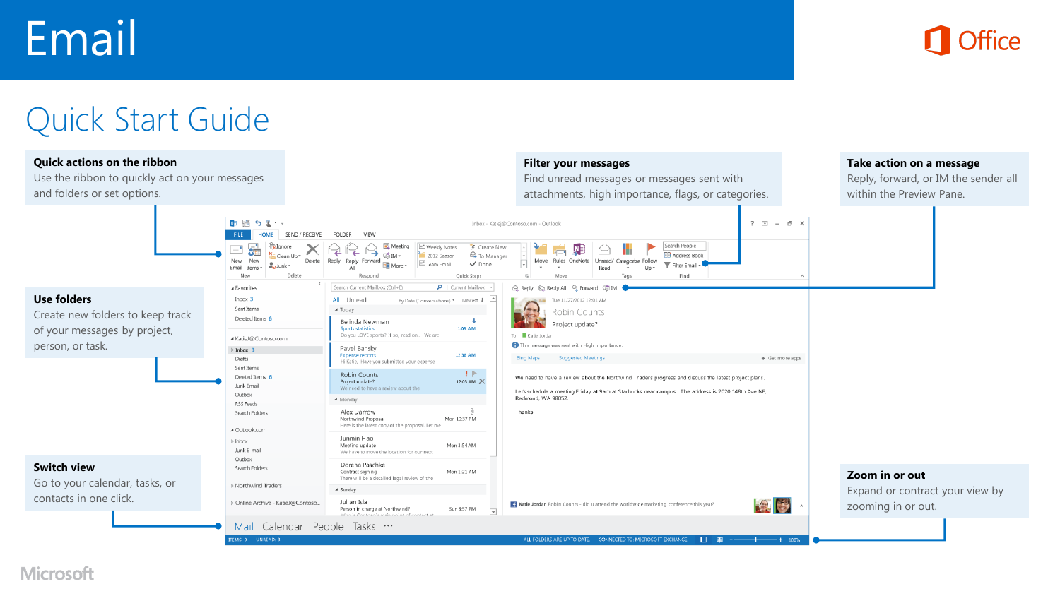# Email



## Quick Start Guide

#### **Quick actions on the ribbon**

Use the ribbon to quickly act on your messages and folders or set options.

#### **Filter your messages**

Find unread messages or messages sent with attachments, high importance, flags, or categories.

#### **Take action on a message**

Reply, forward, or IM the sender all within the Preview Pane.



**Microsoft**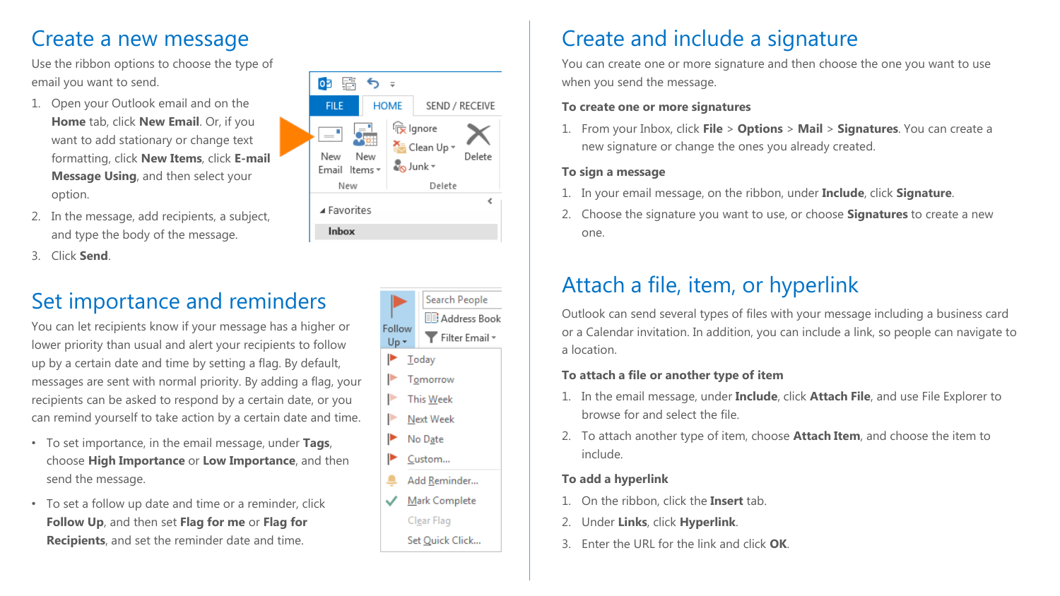### Create a new message

Use the ribbon options to choose the type of email you want to send.

- 1. Open your Outlook email and on the **Home** tab, click **New Email**. Or, if you want to add stationary or change text formatting, click **New Items**, click **E-mail Message Using**, and then select your option.
- 2. In the message, add recipients, a subject, and type the body of the message.
- 3. Click **Send**.

### Set importance and reminders

You can let recipients know if your message has a higher or lower priority than usual and alert your recipients to follow up by a certain date and time by setting a flag. By default, messages are sent with normal priority. By adding a flag, your recipients can be asked to respond by a certain date, or you can remind yourself to take action by a certain date and time.

- To set importance, in the email message, under **Tags**, choose **High Importance** or **Low Importance**, and then send the message.
- To set a follow up date and time or a reminder, click **Follow Up**, and then set **Flag for me** or **Flag for Recipients**, and set the reminder date and time.





### Create and include a signature

You can create one or more signature and then choose the one you want to use when you send the message.

#### **To create one or more signatures**

1. From your Inbox, click **File** > **Options** > **Mail** > **Signatures**. You can create a new signature or change the ones you already created.

#### **To sign a message**

- 1. In your email message, on the ribbon, under **Include**, click **Signature**.
- 2. Choose the signature you want to use, or choose **Signatures** to create a new one.

### Attach a file, item, or hyperlink

Outlook can send several types of files with your message including a business card or a Calendar invitation. In addition, you can include a link, so people can navigate to a location.

#### **To attach a file or another type of item**

- 1. In the email message, under **Include**, click **Attach File**, and use File Explorer to browse for and select the file.
- 2. To attach another type of item, choose **Attach Item**, and choose the item to include.

### **To add a hyperlink**

- 1. On the ribbon, click the **Insert** tab.
- 2. Under **Links**, click **Hyperlink**.
- 3. Enter the URL for the link and click **OK**.